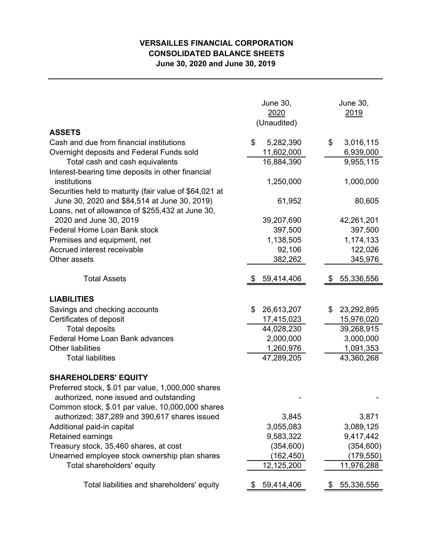## **VERSAILLES FINANCIAL CORPORATION CONSOLIDATED BALANCE SHEETS June 30, 2020 and June 30, 2019**

|                                                                   | <b>June 30,</b><br>2020<br>(Unaudited) | <b>June 30,</b><br>2019 |
|-------------------------------------------------------------------|----------------------------------------|-------------------------|
| <b>ASSETS</b>                                                     |                                        |                         |
| Cash and due from financial institutions                          | \$<br>5,282,390                        | \$<br>3,016,115         |
| Overnight deposits and Federal Funds sold                         | 11,602,000                             | 6,939,000               |
| Total cash and cash equivalents                                   | 16,884,390                             | 9,955,115               |
| Interest-bearing time deposits in other financial<br>institutions | 1,250,000                              | 1,000,000               |
| Securities held to maturity (fair value of \$64,021 at            |                                        |                         |
| June 30, 2020 and \$84,514 at June 30, 2019)                      | 61,952                                 | 80,605                  |
| Loans, net of allowance of \$255,432 at June 30,                  |                                        |                         |
| 2020 and June 30, 2019                                            | 39,207,690                             | 42,261,201              |
| Federal Home Loan Bank stock                                      | 397,500                                | 397,500                 |
| Premises and equipment, net                                       | 1,138,505                              | 1,174,133               |
| Accrued interest receivable                                       | 92,106                                 | 122,026                 |
| Other assets                                                      | 382,262                                | 345,976                 |
|                                                                   |                                        |                         |
| <b>Total Assets</b>                                               | 59,414,406                             | 55,336,556              |
| <b>LIABILITIES</b>                                                |                                        |                         |
| Savings and checking accounts                                     | \$<br>26,613,207                       | \$<br>23,292,895        |
| Certificates of deposit                                           | 17,415,023                             | 15,976,020              |
| <b>Total deposits</b>                                             | 44,028,230                             | 39,268,915              |
| Federal Home Loan Bank advances                                   | 2,000,000                              | 3,000,000               |
| <b>Other liabilities</b>                                          | 1,260,976                              | 1,091,353               |
| <b>Total liabilities</b>                                          | 47,289,205                             | 43,360,268              |
| <b>SHAREHOLDERS' EQUITY</b>                                       |                                        |                         |
| Preferred stock, \$.01 par value, 1,000,000 shares                |                                        |                         |
| authorized, none issued and outstanding                           |                                        |                         |
| Common stock, \$.01 par value, 10,000,000 shares                  |                                        |                         |
| authorized; 387,289 and 390,617 shares issued                     | 3,845                                  | 3,871                   |
| Additional paid-in capital                                        | 3,055,083                              | 3,089,125               |
| Retained earnings                                                 | 9,583,322                              | 9,417,442               |
| Treasury stock, 35,460 shares, at cost                            | (354, 600)                             | (354, 600)              |
| Unearned employee stock ownership plan shares                     | (162, 450)                             | (179,550)               |
| Total shareholders' equity                                        | 12,125,200                             | 11,976,288              |
| Total liabilities and shareholders' equity                        | 59,414,406<br>P.                       | 55,336,556<br>\$        |